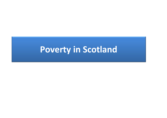## **Poverty in Scotland**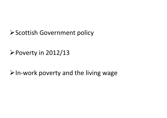Scottish Government policy

Poverty in 2012/13

In‐work poverty and the living wage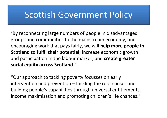## Scottish Government Policy

"By reconnecting large numbers of people in disadvantaged groups and communities to the mainstream economy, and encouraging work that pays fairly, we will **help more people in Scotland to fulfil their potential**; increase economic growth and participation in the labour market; and **create greater social equity across Scotland**."

"Our approach to tackling poverty focusses on early intervention and prevention – tackling the root causes and building people's capabilities through universal entitlements, income maximisation and promoting children's life chances."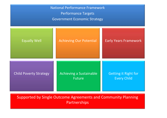| <b>National Performance Framework</b><br><b>Performance Targets</b><br><b>Government Economic Strategy</b> |                                          |                                                   |
|------------------------------------------------------------------------------------------------------------|------------------------------------------|---------------------------------------------------|
| <b>Equally Well</b>                                                                                        | <b>Achieving Our Potential</b>           | <b>Early Years Framework</b>                      |
| <b>Child Poverty Strategy</b>                                                                              | Achieving a Sustainable<br><b>Future</b> | <b>Getting it Right for</b><br><b>Every Child</b> |

Supported by Single Outcome Agreements and Community Planning Partnerships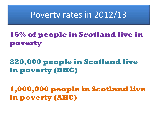## Poverty rates in 2012/13

## **16% of people in Scotland live in poverty**

## **820,000 people in Scotland live in poverty (BHC)**

### **1,000,000 people in Scotland live in poverty (AHC)**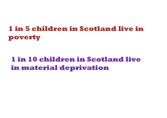## **1 in 5 children in Scotland live in poverty**

## **1 in 10 children in Scotland live in material deprivation**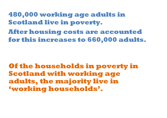**480,000 working age adults in Scotland live in poverty.** 

**After housing costs are accounted for this increases to 660,000 adults.** 

**Of the households in poverty in Scotland with working age adults, the majority live in 'working households'.**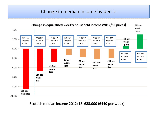#### Change in median income by decile



Scottish median income 2012/13 **£23,000 (£440 per week)**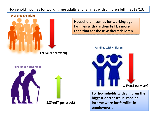#### Household incomes for working age adults and families with children fell in 2012/13.

#### **Working age adults**



**Household incomes for working age Household incomes for working age families with children fell by more families with children fell by more than that for those without children** . **than that for those without children** .

#### **Families with children**



**For households with children the For households with children the biggest decreases in median biggest decreases in median income were for families inincome were for families inemployment. employment.**

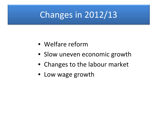# Changes in 2012/13

- Welfare reform
- Slow uneven economic growth
- Changes to the labour market
- Low wage growth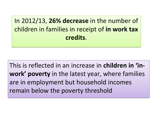In 2012/13, **26% decrease** in the number of In 2012/13, **26% decrease** in the number of children in families in receipt of **in work tax** children in families in receipt of **in work tax credits**. **credits**.

This is reflected in an increase in **children in 'in‐** This is reflected in an increase in **children in 'in‐ work' poverty** in the latest year, where families **work' poverty** in the latest year, where families are in employment but household incomes are in employment but household incomes remain below the poverty threshold remain below the poverty threshold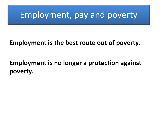## Employment, pay and poverty

#### **Employment is the best route out of poverty.**

## **Employment is no longer <sup>a</sup> protection against poverty.**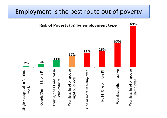### Employment is the best route out of poverty

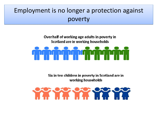### Employment is no longer <sup>a</sup> protection against Employment is no longer <sup>a</sup> protection against poverty poverty

#### Over half of working age adults in poverty in Scotland are in working households

Six in ten children in poverty in Scotland are in working households

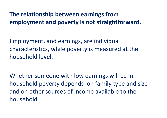#### **The relationship between earnings from employment and poverty is not straightforward.**

Employment, and earnings, are individual characteristics, while poverty is measured at the household level.

Whether someone with low earnings will be in household poverty depends on family type and size and on other sources of income available to the household.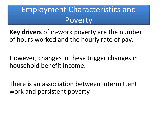## Employment Characteristics and Poverty

**Key drivers** of in‐work poverty are the number of hours worked and the hourly rate of pay.

However, changes in these trigger changes in household benefit income.

There is an association between intermittent work and persistent poverty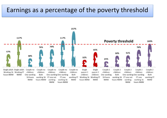#### Earnings as a percentage of the poverty threshold

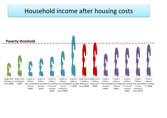#### Household income after housing costs

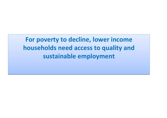**For poverty to decline, lower income For poverty to decline, lower income households need access to quality and households need access to quality and sustainable employment sustainable employment**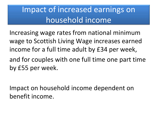## Impact of increased earnings on household income

Increasing wage rates from national minimum wage to Scottish Living Wage increases earned income for <sup>a</sup> full time adult by £34 per week,

and for couples with one full time one part time by £55 per week.

Impact on household income dependent on benefit income.